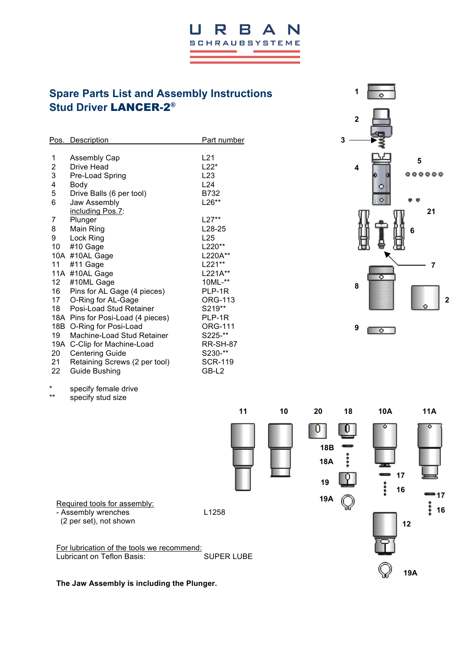# **Spare Parts List and Assembly Instructions Stud Driver** LANCER-2®

Ш

R

B

**SCHRAUBSYSTEME** 

 $\blacktriangle$ 

|     | Pos. Description                  | <u>Part number</u>  |
|-----|-----------------------------------|---------------------|
|     |                                   |                     |
| 1   | <b>Assembly Cap</b>               | L21                 |
| 2   | Drive Head                        | $L22*$              |
| 3   | Pre-Load Spring                   | L <sub>23</sub>     |
| 4   | Body                              | L24                 |
| 5   | Drive Balls (6 per tool)          | B732                |
| 6   | Jaw Assembly                      | $L26**$             |
|     | including Pos.7:                  |                     |
| 7   | Plunger                           | L27**               |
| 8   | Main Ring                         | L <sub>28</sub> -25 |
| 9   | Lock Ring                         | L25                 |
| 10  | #10 Gage                          | L220**              |
|     | 10A #10AL Gage                    | L220A**             |
| 11  | #11 Gage                          | L221**              |
|     | 11A #10AL Gage                    | L221A**             |
| 12  | #10ML Gage                        | 10ML-**             |
| 16  | Pins for AL Gage (4 pieces)       | PLP-1R              |
| 17  | O-Ring for AL-Gage                | <b>ORG-113</b>      |
| 18  | Posi-Load Stud Retainer           | S219**              |
|     | 18A Pins for Posi-Load (4 pieces) | PLP-1R              |
| 18B | O-Ring for Posi-Load              | <b>ORG-111</b>      |
| 19  | Machine-Load Stud Retainer        | S225-**             |
|     | 19A C-Clip for Machine-Load       | <b>RR-SH-87</b>     |
| 20  | <b>Centering Guide</b>            | S230-**             |
| 21. | Retaining Screws (2 per tool)     | <b>SCR-119</b>      |
| 22  | Guide Bushing                     | GB-L2               |
|     |                                   |                     |



**11 10 20 18 10A 11A**

\* specify female drive specify stud size

(2 per set), not shown

 $\mathbf{0}$ 0 **18B**  $1.1.1$ **18A 17 19 16 19A** P Required tools for assembly: - Assembly wrenches L1258 **12** For lubrication of the tools we recommend: Lubricant on Teflon Basis: SUPER LUBE

**The Jaw Assembly is including the Plunger.**

**19A**

**17**

\*<br>\* 16